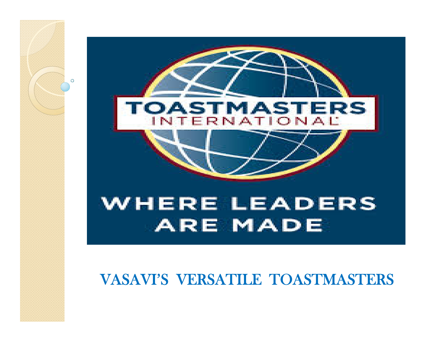

O

## WHERE LEADERS **ARE MADE**

### VASAVI'S VERSATILE TOASTMASTERS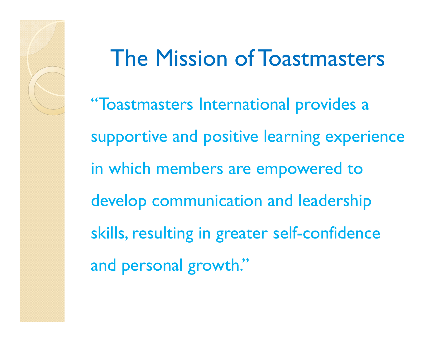# The Mission of Toastmasters

"Toastmasters International provides a supportive and positive learning experience in which members are empowered to develop communication and leadership skills, resulting in greater self-confidence and personal growth."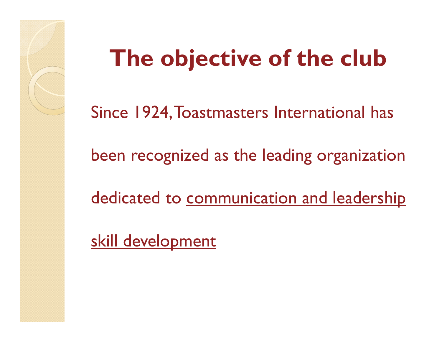# **The objective of the club**

Since 1924, Toastmasters International has

been recognized as the leading organization

dedicated to communication and leadership

skill development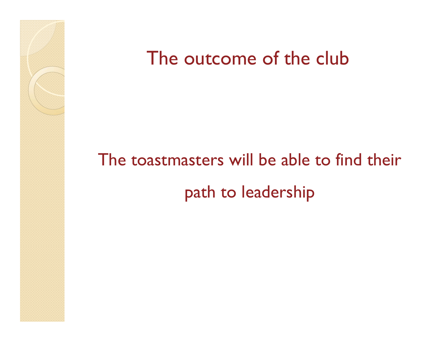

# The toastmasters will be able to find their path to leadership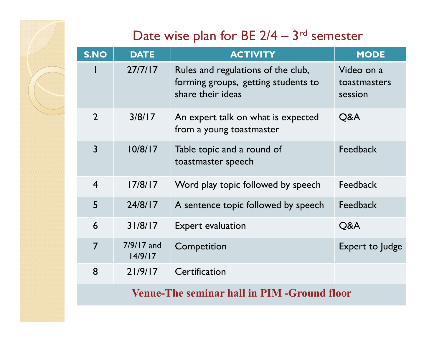### Date wise plan for BE  $2/4 - 3$ <sup>rd</sup> semester

| <b>S.NO</b>                                 | <b>DATE</b>             | <b>ACTIVITY</b>                                                                                | <b>MODE</b>                           |  |
|---------------------------------------------|-------------------------|------------------------------------------------------------------------------------------------|---------------------------------------|--|
|                                             | 27/7/17                 | Rules and regulations of the club,<br>forming groups, getting students to<br>share their ideas | Video on a<br>toastmasters<br>session |  |
| $\overline{2}$                              | 3/8/17                  | An expert talk on what is expected<br>from a young toastmaster                                 | Q&A                                   |  |
| $\overline{3}$                              | 10/8/17                 | Table topic and a round of<br>toastmaster speech                                               | <b>Feedback</b>                       |  |
| $\overline{4}$                              | 17/8/17                 | Word play topic followed by speech                                                             | <b>Feedback</b>                       |  |
| 5                                           | 24/8/17                 | A sentence topic followed by speech                                                            | <b>Feedback</b>                       |  |
| 6                                           | 31/8/17                 | <b>Expert evaluation</b>                                                                       | Q&A                                   |  |
| $\overline{7}$                              | $7/9/17$ and<br>14/9/17 | Competition                                                                                    | Expert to Judge                       |  |
| 8                                           | 21/9/17                 | Certification                                                                                  |                                       |  |
| Venue-The seminar hall in PIM -Ground floor |                         |                                                                                                |                                       |  |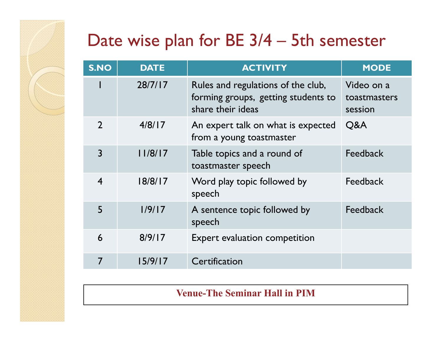### Date wise plan for BE 3/4 – 5th semester

| <b>S.NO</b>      | <b>DATE</b> | <b>ACTIVITY</b>                                                                                | <b>MODE</b>                           |
|------------------|-------------|------------------------------------------------------------------------------------------------|---------------------------------------|
|                  | 28/7/17     | Rules and regulations of the club,<br>forming groups, getting students to<br>share their ideas | Video on a<br>toastmasters<br>session |
| $\overline{2}$   | 4/8/17      | An expert talk on what is expected<br>from a young toastmaster                                 | Q&A                                   |
| $\overline{3}$   | 11/8/17     | Table topics and a round of<br>toastmaster speech                                              | Feedback                              |
| $\boldsymbol{4}$ | 18/8/17     | Word play topic followed by<br>speech                                                          | Feedback                              |
| 5                | 1/9/17      | A sentence topic followed by<br>speech                                                         | Feedback                              |
| 6                | 8/9/17      | <b>Expert evaluation competition</b>                                                           |                                       |
| 7                | 15/9/17     | Certification                                                                                  |                                       |

**Venue-The Seminar Hall in PIM**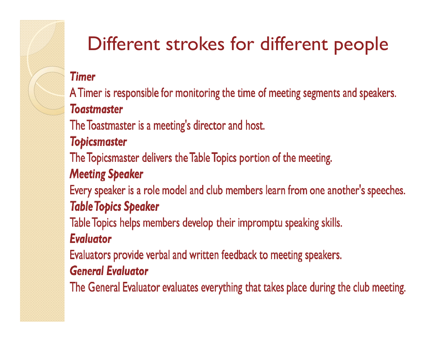## Different strokes for different people

#### **Timer**

A Timer is responsible for monitoring the time of meeting segments and speakers. **Toastmaster** 

The Toastmaster is a meeting's director and host.

#### **Topicsmaster**

The Topicsmaster delivers the Table Topics portion of the meeting.

#### **Meeting Speaker**

Every speaker is a role model and club members learn from one another's speeches. **Table Topics Speaker** 

Table Topics helps members develop their impromptu speaking skills.

#### **Evaluator**

Evaluators provide verbal and written feedback to meeting speakers.

#### **General Evaluator**

The General Evaluator evaluates everything that takes place during the club meeting.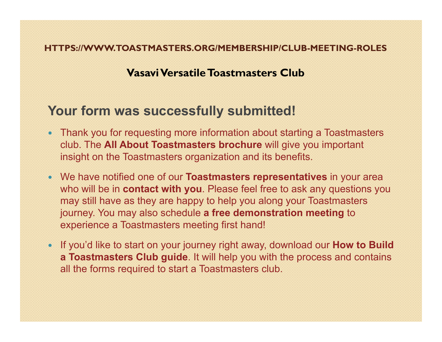#### **HTTPS://WWW.TOASTMASTERS.ORG/MEMBERSHIP/CLUB-MEETING-ROLES**

#### **VasaviVersatile Toastmasters Club**

#### **Your form was successfully submitted!**

- Thank you for requesting more information about starting a Toastmasters club. The **All About Toastmasters brochure** will give you important insight on the Toastmasters organization and its benefits.
- We have notified one of our **Toastmasters representatives** in your area who will be in **contact with you**. Please feel free to ask any questions you may still have as they are happy to help you along your Toastmasters journey. You may also schedule **a free demonstration meeting** to experience a Toastmasters meeting first hand!
- If you'd like to start on your journey right away, download our **How to Build a Toastmasters Club guide**. It will help you with the process and contains all the forms required to start a Toastmasters club.